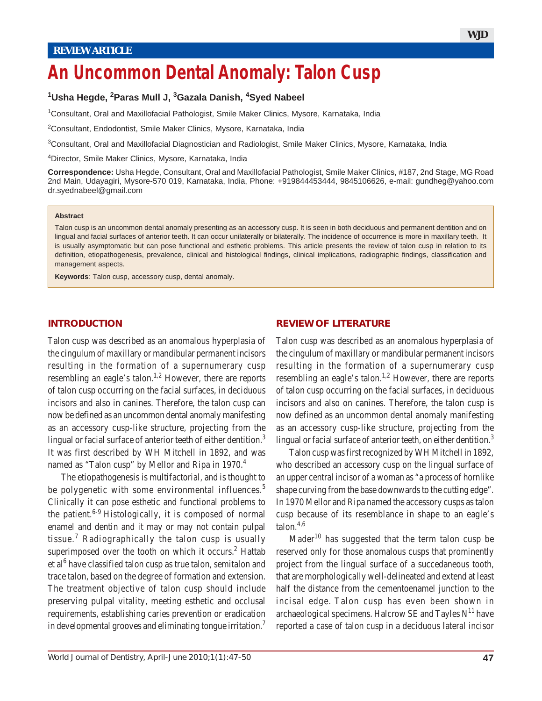# **An Uncommon Dental Anomaly: Talon Cusp**

# **1 Usha Hegde, <sup>2</sup> Paras Mull J, <sup>3</sup> Gazala Danish, <sup>4</sup> Syed Nabeel**

1Consultant, Oral and Maxillofacial Pathologist, Smile Maker Clinics, Mysore, Karnataka, India

2Consultant, Endodontist, Smile Maker Clinics, Mysore, Karnataka, India

3 Consultant, Oral and Maxillofacial Diagnostician and Radiologist, Smile Maker Clinics, Mysore, Karnataka, India

4 Director, Smile Maker Clinics, Mysore, Karnataka, India

**Correspondence:** Usha Hegde, Consultant, Oral and Maxillofacial Pathologist, Smile Maker Clinics, #187, 2nd Stage, MG Road 2nd Main, Udayagiri, Mysore-570 019, Karnataka, India, Phone: +919844453444, 9845106626, e-mail: gundheg@yahoo.com dr.syednabeel@gmail.com

#### **Abstract**

Talon cusp is an uncommon dental anomaly presenting as an accessory cusp. It is seen in both deciduous and permanent dentition and on lingual and facial surfaces of anterior teeth. It can occur unilaterally or bilaterally. The incidence of occurrence is more in maxillary teeth. It is usually asymptomatic but can pose functional and esthetic problems. This article presents the review of talon cusp in relation to its definition, etiopathogenesis, prevalence, clinical and histological findings, clinical implications, radiographic findings, classification and management aspects.

**Keywords**: Talon cusp, accessory cusp, dental anomaly.

### **INTRODUCTION**

Talon cusp was described as an anomalous hyperplasia of the cingulum of maxillary or mandibular permanent incisors resulting in the formation of a supernumerary cusp resembling an eagle's talon.<sup>1,2</sup> However, there are reports of talon cusp occurring on the facial surfaces, in deciduous incisors and also in canines. Therefore, the talon cusp can now be defined as an uncommon dental anomaly manifesting as an accessory cusp-like structure, projecting from the lingual or facial surface of anterior teeth of either dentition.<sup>3</sup> It was first described by WH Mitchell in 1892, and was named as "Talon cusp" by Mellor and Ripa in 1970.<sup>4</sup>

The etiopathogenesis is multifactorial, and is thought to be polygenetic with some environmental influences.<sup>5</sup> Clinically it can pose esthetic and functional problems to the patient.<sup>6-9</sup> Histologically, it is composed of normal enamel and dentin and it may or may not contain pulpal tissue.<sup>7</sup> Radiographically the talon cusp is usually superimposed over the tooth on which it occurs.<sup>2</sup> Hattab et al<sup>6</sup> have classified talon cusp as true talon, semitalon and trace talon, based on the degree of formation and extension. The treatment objective of talon cusp should include preserving pulpal vitality, meeting esthetic and occlusal requirements, establishing caries prevention or eradication in developmental grooves and eliminating tongue irritation.7

#### **REVIEW OF LITERATURE**

Talon cusp was described as an anomalous hyperplasia of the cingulum of maxillary or mandibular permanent incisors resulting in the formation of a supernumerary cusp resembling an eagle's talon.<sup>1,2</sup> However, there are reports of talon cusp occurring on the facial surfaces, in deciduous incisors and also on canines. Therefore, the talon cusp is now defined as an uncommon dental anomaly manifesting as an accessory cusp-like structure, projecting from the lingual or facial surface of anterior teeth, on either dentition. $3$ 

Talon cusp was first recognized by WH Mitchell in 1892, who described an accessory cusp on the lingual surface of an upper central incisor of a woman as "a process of hornlike shape curving from the base downwards to the cutting edge". In 1970 Mellor and Ripa named the accessory cusps as talon cusp because of its resemblance in shape to an eagle's talon.4,6

Mader<sup>10</sup> has suggested that the term talon cusp be reserved only for those anomalous cusps that prominently project from the lingual surface of a succedaneous tooth, that are morphologically well-delineated and extend at least half the distance from the cementoenamel junction to the incisal edge. Talon cusp has even been shown in archaeological specimens. Halcrow SE and Tayles  $N<sup>11</sup>$  have reported a case of talon cusp in a deciduous lateral incisor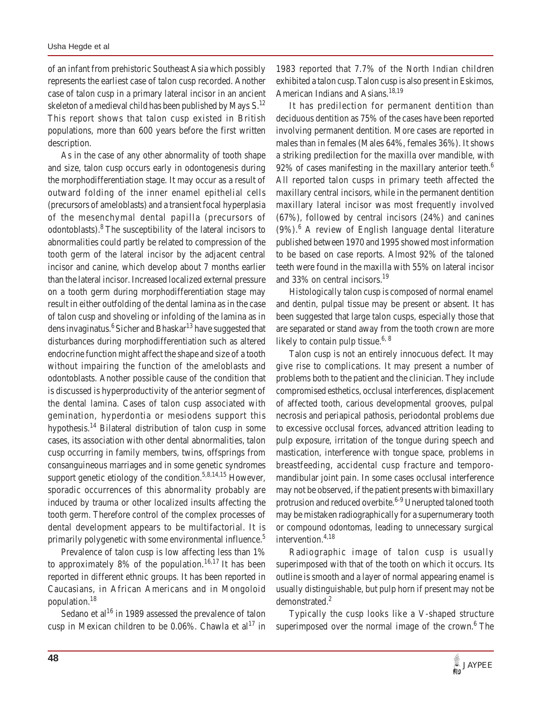of an infant from prehistoric Southeast Asia which possibly represents the earliest case of talon cusp recorded. Another case of talon cusp in a primary lateral incisor in an ancient skeleton of a medieval child has been published by Mays  $S<sup>12</sup>$ This report shows that talon cusp existed in British populations, more than 600 years before the first written description.

As in the case of any other abnormality of tooth shape and size, talon cusp occurs early in odontogenesis during the morphodifferentiation stage. It may occur as a result of outward folding of the inner enamel epithelial cells (precursors of ameloblasts) and a transient focal hyperplasia of the mesenchymal dental papilla (precursors of odontoblasts).<sup>8</sup> The susceptibility of the lateral incisors to abnormalities could partly be related to compression of the tooth germ of the lateral incisor by the adjacent central incisor and canine, which develop about 7 months earlier than the lateral incisor. Increased localized external pressure on a tooth germ during morphodifferentiation stage may result in either outfolding of the dental lamina as in the case of talon cusp and shoveling or infolding of the lamina as in dens invaginatus.<sup>6</sup> Sicher and Bhaskar<sup>13</sup> have suggested that disturbances during morphodifferentiation such as altered endocrine function might affect the shape and size of a tooth without impairing the function of the ameloblasts and odontoblasts. Another possible cause of the condition that is discussed is hyperproductivity of the anterior segment of the dental lamina. Cases of talon cusp associated with gemination, hyperdontia or mesiodens support this hypothesis.14 Bilateral distribution of talon cusp in some cases, its association with other dental abnormalities, talon cusp occurring in family members, twins, offsprings from consanguineous marriages and in some genetic syndromes support genetic etiology of the condition.<sup>5,8,14,15</sup> However, sporadic occurrences of this abnormality probably are induced by trauma or other localized insults affecting the tooth germ. Therefore control of the complex processes of dental development appears to be multifactorial. It is primarily polygenetic with some environmental influence.<sup>5</sup>

Prevalence of talon cusp is low affecting less than 1% to approximately 8% of the population.<sup>16,17</sup> It has been reported in different ethnic groups. It has been reported in Caucasians, in African Americans and in Mongoloid population.18

Sedano et al<sup>16</sup> in 1989 assessed the prevalence of talon cusp in Mexican children to be  $0.06\%$ . Chawla et al<sup>17</sup> in 1983 reported that 7.7% of the North Indian children exhibited a talon cusp.Talon cusp is also present in Eskimos, American Indians and Asians.<sup>18,19</sup>

It has predilection for permanent dentition than deciduous dentition as 75% of the cases have been reported involving permanent dentition. More cases are reported in males than in females (Males 64%, females 36%). It shows a striking predilection for the maxilla over mandible, with 92% of cases manifesting in the maxillary anterior teeth.<sup>6</sup> All reported talon cusps in primary teeth affected the maxillary central incisors, while in the permanent dentition maxillary lateral incisor was most frequently involved (67%), followed by central incisors (24%) and canines (9%).<sup>6</sup> A review of English language dental literature published between 1970 and 1995 showed most information to be based on case reports. Almost 92% of the taloned teeth were found in the maxilla with 55% on lateral incisor and 33% on central incisors.<sup>19</sup>

Histologically talon cusp is composed of normal enamel and dentin, pulpal tissue may be present or absent. It has been suggested that large talon cusps, especially those that are separated or stand away from the tooth crown are more likely to contain pulp tissue.<sup>6, 8</sup>

Talon cusp is not an entirely innocuous defect. It may give rise to complications. It may present a number of problems both to the patient and the clinician. They include compromised esthetics, occlusal interferences, displacement of affected tooth, carious developmental grooves, pulpal necrosis and periapical pathosis, periodontal problems due to excessive occlusal forces, advanced attrition leading to pulp exposure, irritation of the tongue during speech and mastication, interference with tongue space, problems in breastfeeding, accidental cusp fracture and temporomandibular joint pain. In some cases occlusal interference may not be observed, if the patient presents with bimaxillary protrusion and reduced overbite.<sup>6-9</sup> Unerupted taloned tooth may be mistaken radiographically for a supernumerary tooth or compound odontomas, leading to unnecessary surgical intervention. $4,18$ 

Radiographic image of talon cusp is usually superimposed with that of the tooth on which it occurs. Its outline is smooth and a layer of normal appearing enamel is usually distinguishable, but pulp horn if present may not be demonstrated.<sup>2</sup>

Typically the cusp looks like a V-shaped structure superimposed over the normal image of the crown.<sup>6</sup> The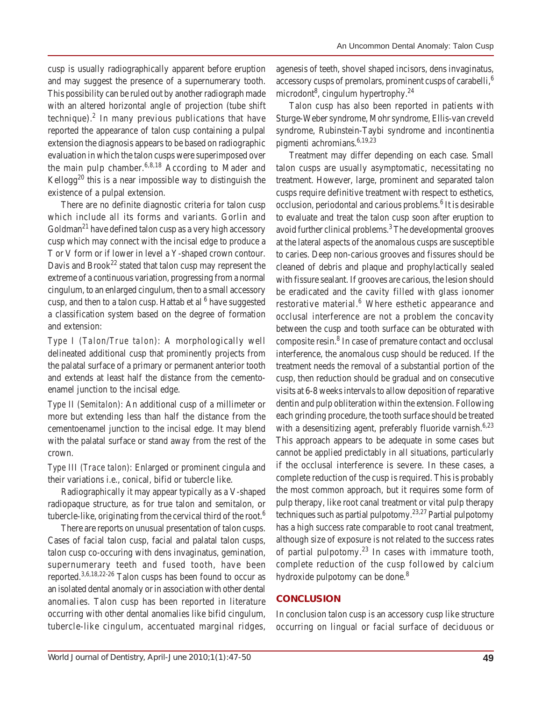cusp is usually radiographically apparent before eruption and may suggest the presence of a supernumerary tooth. This possibility can be ruled out by another radiograph made with an altered horizontal angle of projection (tube shift technique). $<sup>2</sup>$  In many previous publications that have</sup> reported the appearance of talon cusp containing a pulpal extension the diagnosis appears to be based on radiographic evaluation in which the talon cusps were superimposed over the main pulp chamber.<sup>6,8,18</sup> According to Mader and Kellogg<sup>20</sup> this is a near impossible way to distinguish the existence of a pulpal extension.

There are no definite diagnostic criteria for talon cusp which include all its forms and variants. Gorlin and  $G$ oldman<sup>21</sup> have defined talon cusp as a very high accessory cusp which may connect with the incisal edge to produce a T or V form or if lower in level a Y-shaped crown contour. Davis and  $Brook<sup>22</sup>$  stated that talon cusp may represent the extreme of a continuous variation, progressing from a normal cingulum, to an enlarged cingulum, then to a small accessory cusp, and then to a talon cusp. Hattab et al <sup>6</sup> have suggested a classification system based on the degree of formation and extension:

*Type I (Talon/True talon)*: A morphologically well delineated additional cusp that prominently projects from the palatal surface of a primary or permanent anterior tooth and extends at least half the distance from the cementoenamel junction to the incisal edge.

*Type II (Semitalon)*: An additional cusp of a millimeter or more but extending less than half the distance from the cementoenamel junction to the incisal edge. It may blend with the palatal surface or stand away from the rest of the crown.

*Type III (Trace talon)*: Enlarged or prominent cingula and their variations i.e., conical, bifid or tubercle like.

Radiographically it may appear typically as a V-shaped radiopaque structure, as for true talon and semitalon, or tubercle-like, originating from the cervical third of the root.6

There are reports on unusual presentation of talon cusps. Cases of facial talon cusp, facial and palatal talon cusps, talon cusp co-occuring with dens invaginatus, gemination, supernumerary teeth and fused tooth, have been reported.3,6,18,22-26 Talon cusps has been found to occur as an isolated dental anomaly or in association with other dental anomalies. Talon cusp has been reported in literature occurring with other dental anomalies like bifid cingulum, tubercle-like cingulum, accentuated marginal ridges, agenesis of teeth, shovel shaped incisors, dens invaginatus, accessory cusps of premolars, prominent cusps of carabelli,<sup>6</sup> microdont<sup>8</sup>, cingulum hypertrophy.<sup>24</sup>

Talon cusp has also been reported in patients with Sturge-Weber syndrome, Mohr syndrome, Ellis-van creveld syndrome, Rubinstein-Taybi syndrome and incontinentia pigmenti achromians.  $6,19,23$ 

Treatment may differ depending on each case. Small talon cusps are usually asymptomatic, necessitating no treatment. However, large, prominent and separated talon cusps require definitive treatment with respect to esthetics, occlusion, periodontal and carious problems.<sup>6</sup> It is desirable to evaluate and treat the talon cusp soon after eruption to avoid further clinical problems.<sup>3</sup> The developmental grooves at the lateral aspects of the anomalous cusps are susceptible to caries. Deep non-carious grooves and fissures should be cleaned of debris and plaque and prophylactically sealed with fissure sealant. If grooves are carious, the lesion should be eradicated and the cavity filled with glass ionomer restorative material.<sup>6</sup> Where esthetic appearance and occlusal interference are not a problem the concavity between the cusp and tooth surface can be obturated with composite resin.<sup>8</sup> In case of premature contact and occlusal interference, the anomalous cusp should be reduced. If the treatment needs the removal of a substantial portion of the cusp, then reduction should be gradual and on consecutive visits at 6-8 weeks intervals to allow deposition of reparative dentin and pulp obliteration within the extension. Following each grinding procedure, the tooth surface should be treated with a desensitizing agent, preferably fluoride varnish.<sup>6,23</sup> This approach appears to be adequate in some cases but cannot be applied predictably in all situations, particularly if the occlusal interference is severe. In these cases, a complete reduction of the cusp is required. This is probably the most common approach, but it requires some form of pulp therapy, like root canal treatment or vital pulp therapy techniques such as partial pulpotomy.<sup>23,27</sup> Partial pulpotomy has a high success rate comparable to root canal treatment, although size of exposure is not related to the success rates of partial pulpotomy.<sup>23</sup> In cases with immature tooth. complete reduction of the cusp followed by calcium hydroxide pulpotomy can be done.<sup>8</sup>

## **CONCLUSION**

In conclusion talon cusp is an accessory cusp like structure occurring on lingual or facial surface of deciduous or